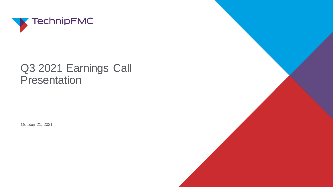

#### Q3 2021 Earnings Call Presentation

October 21, 2021

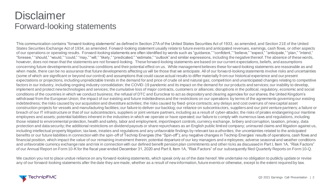#### **Disclaimer** Forward-looking statements

This communication contains "forward-looking statements" as defined in Section 27A of the United States Securities Act of 1933, as amended, and Section 21E of the United States Securities Exchange Act of 1934, as amended. Forward-looking statement usually relate to future events and anticipated revenues, earnings, cash flows, or other aspects of our operations or operating results. Forward-looking statements are often identified by words such as "guidance," "confident," "believe," "expect," "anticipate," "plan," "intend," "foresee," "should," "would," "could," "may," "will," "likely," "predicated," "estimate," "outlook" and similar expressions, including the negative thereof. The absence of these words, however, does not mean that the statements are not forward-looking. These forward-looking statements are based on our current expectations, beliefs, and assumptions concerning future developments and business conditions and their potential effect on us. While management believes these forward-looking statements are reasonable as and when made, there can be no assurance that future developments affecting us will be those that we anticipate. All of our forward-looking statements involve risks and uncertainties (some of which are significant or beyond our control) and assumptions that could cause actual results to differ materially from our historical experience and our present expectations or projections, including unpredictable trends in the demand for and price of crude oil and natural gas; competition and unanticipated changes relating to competitive factors in our industry, including ongoing industry consolidation; the COVID-19 pandemic and its impact on the demand for our products and services; our inability to develop, implement and protect new technologies and services; the cumulative loss of major contracts, customers or alliances; disruptions in the political, regulatory, economic and social conditions of the countries in which we conduct business; the refusal of DTC and Euroclear to act as depository and clearing agencies for our shares; the United Kingdom's withdrawal from the European Union; the impact of our existing and future indebtedness and the restrictions on our operations by terms of the agreements governing our existing indebtedness; the risks caused by our acquisition and divestiture activities; the risks caused by fixed-price contracts; any delays and cost overruns of new capital asset construction projects for vessels and manufacturing facilities; our failure to deliver our backlog; our reliance on subcontractors, suppliers and our joint venture partners; a failure or breach of our IT infrastructure or that of our subcontractors, suppliers or joint venture partners, including as a result of cyber-attacks; the risks of pirates endangering our maritime employees and assets; potential liabilities inherent in the industries in which we operate or have operated; our failure to comply with numerous laws and regulations, including those related to environmental protection, health and safety, labor and employment, import/export controls, currency exchange, bribery and corruption, taxation, privacy, data protection and data security; the additional restrictions on dividend payouts or share repurchases as an English public limited company; uninsured claims and litigation against us, including intellectual property litigation; tax laws, treaties and regulations and any unfavorable findings by relevant tax authorities; the uncertainties related to the anticipated benefits or our future liabilities in connection with the spin-off of Technip Energies (the "Spin-off"); any negative changes in Technip Energies' results of operations, cash flows and financial position, which impact the value of our remaining investment therein; potential departure of our key managers and e mployees; adverse seasonal and weather conditions and unfavorable currency exchange rate and risk in connection with our defined benefit pension plan commitments and other ris ks as discussed in Part I, Item 1A, "Risk Factors" of our Annual Report on Form 10-K for the fiscal year ended December 31, 2020 and Part II, Item 1A, "Risk Factors" of our subsequently filed Quarterly Reports on Form 10-Q.

We caution you not to place undue reliance on any forward-looking statements, which speak only as of the date hereof. We undertake no obligation to publicly update or revise any of our forward-looking statements after the date they are made, whether as a result of new information, future events or otherwise, except to the extent required by law.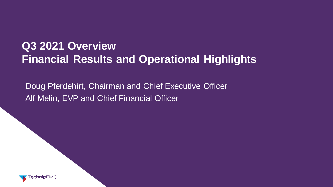## **Q3 2021 Overview Financial Results and Operational Highlights**

Doug Pferdehirt, Chairman and Chief Executive Officer Alf Melin, EVP and Chief Financial Officer

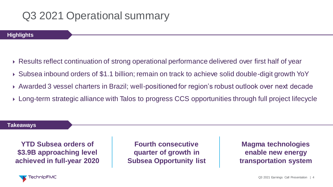#### Q3 2021 Operational summary

**Highlights**

- Results reflect continuation of strong operational performance delivered over first half of year
- Subsea inbound orders of \$1.1 billion; remain on track to achieve solid double-digit growth YoY
- Awarded 3 vessel charters in Brazil; well-positioned for region's robust outlook over next decade
- Long-term strategic alliance with Talos to progress CCS opportunities through full project lifecycle

**Takeaways**

**YTD Subsea orders of \$3.9B approaching level achieved in full-year 2020**

**Fourth consecutive quarter of growth in Subsea Opportunity list** 

**Magma technologies enable new energy transportation system**

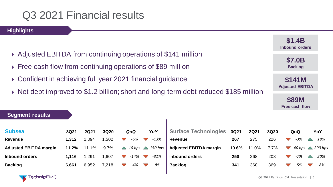**Highlights**

- ▶ Adjusted EBITDA from continuing operations of \$141 million
- ▶ Free cash flow from continuing operations of \$89 million
- Confident in achieving full year 2021 financial guidance
- ▶ Net debt improved to \$1.2 billion; short and long-term debt reduced \$185 million

| J I .4D<br><b>Inbound orders</b>        |
|-----------------------------------------|
| <b>\$7.0B</b><br><b>Backlog</b>         |
| <b>\$141M</b><br><b>Adjusted EBITDA</b> |
| <b>\$89M</b><br><b>Free cash flow</b>   |

**\$1.4B**

| <b>OCULTELIL LESUILS</b>      |       |             |       |        |                                                |                               |       |             |      |                      |     |                               |
|-------------------------------|-------|-------------|-------|--------|------------------------------------------------|-------------------------------|-------|-------------|------|----------------------|-----|-------------------------------|
| <b>Subsea</b>                 | 3Q21  | <b>2Q21</b> | 3Q20  | QoQ    | YoY                                            | <b>Surface Technologies</b>   | 3Q21  | <b>2Q21</b> | 3Q20 |                      | QoQ | YoY                           |
| <b>Revenue</b>                | 1,312 | ,394        | 1,502 | -6%    | $-13%$                                         | <b>Revenue</b>                | 267   | 275         | 226  |                      | -3% | 18%                           |
| <b>Adjusted EBITDA margin</b> | 11.2% | 11.1%       | 9.7%  |        | $10 \text{ bps}$ $\triangle$ $150 \text{ bps}$ | <b>Adjusted EBITDA margin</b> | 10.6% | 11.0%       | 7.7% | $\blacktriangledown$ |     | $-40$ bps $\triangle$ 290 bps |
| <b>Inbound orders</b>         | 1,116 | ,291        | 1,607 | $-14%$ | $-31%$                                         | Inbound orders                | 250   | 268         | 208  |                      | -7% | 20%                           |
| <b>Backlog</b>                | 6,661 | 6,952       | 7,218 | -4%    | $-8%$                                          | <b>Backlog</b>                | 341   | 360         | 369  |                      | -5% | -8%                           |
|                               |       |             |       |        |                                                |                               |       |             |      |                      |     |                               |

Sogmant rocult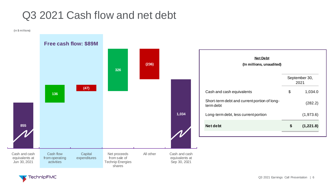#### Q3 2021 Cash flow and net debt

(in \$ millions)



**TechnipFMC**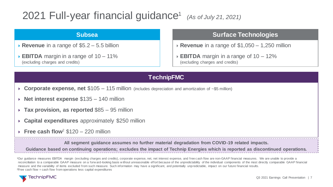#### 2021 Full-year financial guidance<sup>1</sup>*(As of July 21, 2021)*

#### **Subsea**

- **Revenue** in a range of \$5.2 5.5 billion
- **EBITDA** margin in a range of 10 11% (excluding charges and credits)

#### **Surface Technologies**

- **Revenue** in a range of \$1,050 1,250 million
- **EBITDA** margin in a range of 10 12% (excluding charges and credits)

#### **TechnipFMC**

- **Corporate expense, net** \$105 115 million (includes depreciation and amortization of ~\$5 million)
- **Net interest expense** \$135 140 million
- **Tax provision, as reported** \$85 95 million
- **Capital expenditures** approximately \$250 million
- **Free cash flow**<sup>2</sup>  $$120 220$  million

**All segment guidance assumes no further material degradation from COVID-19 related impacts.** 

**Guidance based on continuing operations; excludes the impact of Technip Energies which is reported as discontinued operations.**

<sup>1</sup>Our guidance measures EBITDA margin (excluding charges and credits), corporate expense, net, net interest expense, and free c ash flow are non-GAAP financial measures. We are unable to provide a reconciliation to a comparable GAAP measure on a forw ard-looking basis w ithout unreasonable effort because of the unpredictability of the individual components of the most directly comparable GAAP financial measure and the variability of items excluded from such measure. Such information may have a significant, and potentially unpredictable, impact on our future financial results. <sup>2</sup>Free cash flow = cash flow from operations less capital expenditures

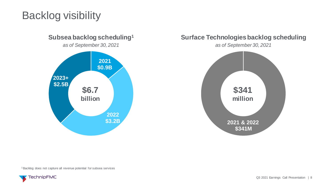## Backlog visibility



#### **Surface Technologies backlog scheduling**

*as of September 30, 2021*



<sup>1</sup>Backlog does not capture all revenue potential for subsea services

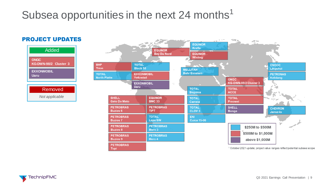## Subsea opportunities in the next 24 months<sup>1</sup>



Removed *Not applicable*

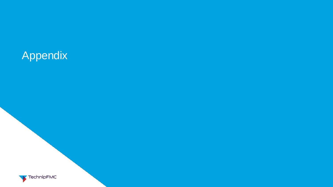# Appendix

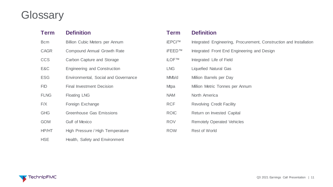# **Glossary**

| Term        | <b>Definition</b>                     | <b>Term</b>        | <b>Definition</b>                                                  |
|-------------|---------------------------------------|--------------------|--------------------------------------------------------------------|
| <b>Bcm</b>  | <b>Billion Cubic Meters per Annum</b> | iEPCI™             | Integrated Engineering, Procurement, Construction and Installation |
| <b>CAGR</b> | <b>Compound Annual Growth Rate</b>    | <b>iFEED™</b>      | Integrated Front End Engineering and Design                        |
| <b>CCS</b>  | Carbon Capture and Storage            | <b>iLOF™</b>       | Integrated Life of Field                                           |
| E&C         | Engineering and Construction          | <b>LNG</b>         | <b>Liquefied Natural Gas</b>                                       |
| <b>ESG</b>  | Environmental, Social and Governance  | MM <sub>b</sub> /d | Million Barrels per Day                                            |
| <b>FID</b>  | <b>Final Investment Decision</b>      | Mtpa               | Million Metric Tonnes per Annum                                    |
| <b>FLNG</b> | <b>Floating LNG</b>                   | <b>NAM</b>         | North America                                                      |
| F/X         | Foreign Exchange                      | <b>RCF</b>         | <b>Revolving Credit Facility</b>                                   |
| <b>GHG</b>  | <b>Greenhouse Gas Emissions</b>       | <b>ROIC</b>        | Return on Invested Capital                                         |
| <b>GOM</b>  | <b>Gulf of Mexico</b>                 | <b>ROV</b>         | <b>Remotely Operated Vehicles</b>                                  |
| HP/HT       | High Pressure / High Temperature      | <b>ROW</b>         | <b>Rest of World</b>                                               |
| <b>HSE</b>  | Health, Safety and Environment        |                    |                                                                    |

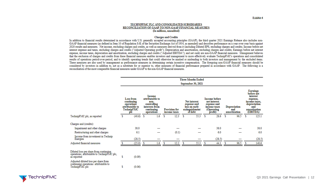#### TECHNIPFMC PLC AND CONSOLIDATED SUBSIDIARIES RECONCILIATION OF GAAP TO NON-GAAP FINANCIAL MEASURES (In millions, unaudited)

#### **Charges and Credits**

In addition to financial results determined in accordance with U.S. generally accepted accounting principles (GAAP), the third quarter 2021 Earnings Release also includes non-GAAP financial measures (as defined in Item 10 of Regulation S-K of the Securities Exchange Act of 1934, as amended) and describes performance on a year-over-year basis against 2020 results and measures. Net income, excluding charges and credits, as well as measures derived from it (including Diluted EPS, excluding charges and credits: Income before net interest expense and taxes, excluding charges and credits ("Adjusted Operating profit"); Depreciation and amortization, excluding charges and credits; Earnings before net interest expense, income taxes, depreciation and amortization, excluding charges and credits ("Adjusted EBITDA"); and net cash) are non-GAAP financial measures. Management believes that the exclusion of charges and credits from these financial measures enables investors and management to more effectively evaluate TechnipFMC's operations and consolidated results of operations period-over-period, and to identify operating trends that could otherwise be masked or misleading to both investors and management by the excluded items. These measures are also used by management as performance measures in determining certain incentive compensation. The foregoing non-GAAP financial measures should be considered by investors in addition to, not as a substitute for or superior to, other measures of financial performance prepared in accordance with GAAP. The following is a reconciliation of the most comparable financial measures under GAAP to the non-GAAP financial measures.

|                                                                                                              |    |                                                                               |      |                                                                                                                                               |   |                                                                           |   | <b>Three Months Ended</b>                                                                    |   |                                     |    |                                                                                                                           |   |        |
|--------------------------------------------------------------------------------------------------------------|----|-------------------------------------------------------------------------------|------|-----------------------------------------------------------------------------------------------------------------------------------------------|---|---------------------------------------------------------------------------|---|----------------------------------------------------------------------------------------------|---|-------------------------------------|----|---------------------------------------------------------------------------------------------------------------------------|---|--------|
|                                                                                                              |    | September 30, 2021                                                            |      |                                                                                                                                               |   |                                                                           |   |                                                                                              |   |                                     |    |                                                                                                                           |   |        |
|                                                                                                              |    | Loss from<br>continuing<br>operations<br>attributable to<br>TechnipFMC<br>рIс |      | <b>Income</b><br>attributable to<br>non-<br>controlling<br>interests from<br>continuing<br><b>Provision for</b><br>operations<br>income taxes |   | Net interest<br>expense and<br>loss on early<br>extinguishment<br>of debt |   | <b>Income</b> before<br>net interest<br>expense and<br>income taxes<br>(Operating<br>profit) |   | Depreciation<br>and<br>amortization |    | <b>Earnings</b><br>before net<br>interest<br>expense,<br>income taxes.<br>depreciation<br>and<br>amortization<br>(EBITDA) |   |        |
| TechnipFMC plc, as reported                                                                                  | s  | (40.6)                                                                        | - \$ | 1.6                                                                                                                                           | s | 12.3                                                                      | s | 55.3                                                                                         | s | 28.6                                | \$ | 96.5                                                                                                                      | s | 125.1  |
| Charges and (credits):                                                                                       |    |                                                                               |      |                                                                                                                                               |   |                                                                           |   |                                                                                              |   |                                     |    |                                                                                                                           |   |        |
| Impairment and other charges                                                                                 |    | 38.0                                                                          |      |                                                                                                                                               |   |                                                                           |   |                                                                                              |   | 38.0                                |    |                                                                                                                           |   | 38.0   |
| Restructuring and other charges                                                                              |    | 6.1                                                                           |      |                                                                                                                                               |   | (0.1)                                                                     |   |                                                                                              |   | 6.0                                 |    |                                                                                                                           |   | 6.0    |
| Income from investment in Technip<br>Energies                                                                |    | (28.5)                                                                        |      |                                                                                                                                               |   |                                                                           |   |                                                                                              |   | (28.5)                              |    |                                                                                                                           |   | (28.5) |
| Adjusted financial measures                                                                                  |    | (25.0)                                                                        | -S   | 1.6                                                                                                                                           | s | 12.2                                                                      | s | 55.3                                                                                         | s | 44.1                                | s  | 96.5                                                                                                                      | s | 140.6  |
| Diluted loss per share from continuing<br>operations attributable to TechnipFMC plc,<br>as reported          | \$ | (0.09)                                                                        |      |                                                                                                                                               |   |                                                                           |   |                                                                                              |   |                                     |    |                                                                                                                           |   |        |
| Adjusted diluted loss per share from<br>continuing operations <sup>2</sup> attributable to<br>TechnipFMC plc | \$ | (0.06)                                                                        |      |                                                                                                                                               |   |                                                                           |   |                                                                                              |   |                                     |    |                                                                                                                           |   |        |

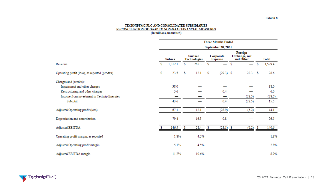# TECHNIPFMC PLC AND CONSOLIDATED SUBSIDIARIES<br>RECONCILIATION OF GAAP TO NON-GAAP FINANCIAL MEASURES<br>(In millions, unaudited)

|                                                | <b>Three Months Ended</b><br>September 30, 2021 |         |                                |       |                             |             |                                       |        |      |         |  |  |  |
|------------------------------------------------|-------------------------------------------------|---------|--------------------------------|-------|-----------------------------|-------------|---------------------------------------|--------|------|---------|--|--|--|
|                                                |                                                 |         |                                |       |                             |             |                                       |        |      |         |  |  |  |
|                                                | Subsea                                          |         | <b>Surface</b><br>Technologies |       | Corporate<br><b>Expense</b> |             | Foreign<br>Exchange, net<br>and Other |        |      | Total   |  |  |  |
| Revenue                                        | \$                                              | 1,312.1 | \$                             | 267.3 | \$                          |             | \$                                    |        | \$   | 1,579.4 |  |  |  |
| Operating profit (loss), as reported (pre-tax) | \$                                              | 23.5    | s                              | 12.1  | s                           | $(29.3)$ \$ |                                       | 22.3   | - \$ | 28.6    |  |  |  |
| Charges and (credits):                         |                                                 |         |                                |       |                             |             |                                       |        |      |         |  |  |  |
| Impairment and other charges                   |                                                 | 38.0    |                                |       |                             |             |                                       |        |      | 38.0    |  |  |  |
| Restructuring and other charges                |                                                 | 5.6     |                                |       |                             | 0.4         |                                       |        |      | 6.0     |  |  |  |
| Income from investment in Technip Energies     |                                                 | —       |                                |       |                             |             |                                       | (28.5) |      | (28.5)  |  |  |  |
| Subtotal                                       |                                                 | 43.6    |                                |       |                             | 0.4         |                                       | (28.5) |      | 15.5    |  |  |  |
| Adjusted Operating profit (loss)               |                                                 | 67.1    |                                | 12.1  |                             | (28.9)      |                                       | (6.2)  |      | 44.1    |  |  |  |
| Depreciation and amortization                  |                                                 | 79.4    |                                | 16.3  |                             | 0.8         |                                       |        |      | 96.5    |  |  |  |
| Adjusted EBITDA                                |                                                 | 146.5   | Ŝ                              | 28.4  | s                           | $(28.1)$ \$ |                                       | (6.2)  | s    | 140.6   |  |  |  |
| Operating profit margin, as reported           |                                                 | 1.8%    |                                | 4.5%  |                             |             |                                       |        |      | 1.8%    |  |  |  |
| Adjusted Operating profit margin               |                                                 | 5.1%    |                                | 4.5%  |                             |             |                                       |        |      | 2.8%    |  |  |  |
| Adjusted EBITDA margin                         |                                                 | 11.2%   |                                | 10.6% |                             |             |                                       |        |      | 8.9%    |  |  |  |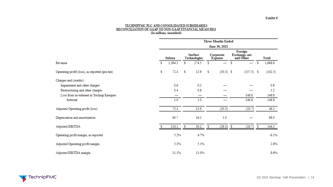# TECHNIPFMC PLC AND CONSOLIDATED SUBSIDIARIES<br>RECONCILIATION OF GAAP TO NON-GAAP FINANCIAL MEASURES<br>(In millions, unaudited)

|                                                | <b>Three Months Ended</b> |         |    |                                |    |                             |   |                                       |    |              |  |  |  |
|------------------------------------------------|---------------------------|---------|----|--------------------------------|----|-----------------------------|---|---------------------------------------|----|--------------|--|--|--|
|                                                | June 30, 2021             |         |    |                                |    |                             |   |                                       |    |              |  |  |  |
|                                                |                           | Subsea  |    | <b>Surface</b><br>Technologies |    | Corporate<br><b>Expense</b> |   | Foreign<br>Exchange, net<br>and Other |    | <b>Total</b> |  |  |  |
| Revenue                                        | s                         | 1,394.3 | \$ | 274.5                          | s  |                             | s |                                       | \$ | 1,668.8      |  |  |  |
| Operating profit (loss), as reported (pre-tax) | \$                        | 72.4    | \$ | 12.9                           | \$ | $(30.3)$ \$                 |   | $(157.5)$ \$                          |    | (102.5)      |  |  |  |
| Charges and (credits):                         |                           |         |    |                                |    |                             |   |                                       |    |              |  |  |  |
| Impairment and other charges                   |                           | 0.6     |    | 0.2                            |    |                             |   |                                       |    | 0.8          |  |  |  |
| Restructuring and other charges                |                           | 0.4     |    | 0.8                            |    |                             |   |                                       |    | 1.2          |  |  |  |
| Loss from investment in Technip Energies       |                           |         |    | —                              |    |                             |   | 146.8                                 |    | 146.8        |  |  |  |
| Subtotal                                       |                           | 1.0     |    | 1.0                            |    |                             |   | 146.8                                 |    | 148.8        |  |  |  |
| Adjusted Operating profit (loss)               |                           | 73.4    |    | 13.9                           |    | (30.3)                      |   | (10.7)                                |    | 46.3         |  |  |  |
| Depreciation and amortization                  |                           | 80.7    |    | 16.3                           |    | 1.0                         |   |                                       |    | 98.0         |  |  |  |
| Adjusted EBITDA                                | s                         | 154.1   | S  | 30.2                           | s  | $(29.3)$ \$                 |   | (10.7)                                | S  | 144.3        |  |  |  |
| Operating profit margin, as reported           |                           | 5.2%    |    | 4.7%                           |    |                             |   |                                       |    | $-6.1%$      |  |  |  |
| Adjusted Operating profit margin               |                           | 5.3%    |    | 5.1%                           |    |                             |   |                                       |    | 2.8%         |  |  |  |
| Adjusted EBITDA margin                         |                           | 11.1%   |    | 11.0%                          |    |                             |   |                                       |    | 8.6%         |  |  |  |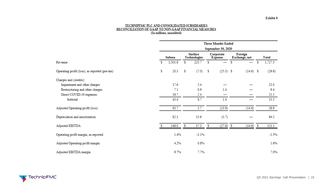# TECHNIPFMC PLC AND CONSOLIDATED SUBSIDIARIES<br>RECONCILIATION OF GAAP TO NON-GAAP FINANCIAL MEASURES<br>(In millions, unaudited)

|                                                |                           | <b>Three Months Ended</b> |    |                                |    |                             |   |                          |   |              |  |  |  |  |
|------------------------------------------------|---------------------------|---------------------------|----|--------------------------------|----|-----------------------------|---|--------------------------|---|--------------|--|--|--|--|
|                                                | <b>September 30, 2020</b> |                           |    |                                |    |                             |   |                          |   |              |  |  |  |  |
|                                                |                           | Subsea                    |    | <b>Surface</b><br>Technologies |    | Corporate<br><b>Expense</b> |   | Foreign<br>Exchange, net |   | <b>Total</b> |  |  |  |  |
| Revenue                                        | \$                        | 1,501.8                   | S. | 225.7                          | s  |                             | s | —                        | s | 1,727.5      |  |  |  |  |
| Operating profit (loss), as reported (pre-tax) | \$                        | 20.3                      | \$ | (7.0)                          | \$ | $(25.3)$ \$                 |   | $(14.6)$ \$              |   | (26.6)       |  |  |  |  |
| Charges and (credits):                         |                           |                           |    |                                |    |                             |   |                          |   |              |  |  |  |  |
| Impairment and other charges                   |                           | 17.6                      |    | 5.4                            |    |                             |   |                          |   | 23.0         |  |  |  |  |
| Restructuring and other charges                |                           | 7.1                       |    | 0.9                            |    | 1.4                         |   |                          |   | 9.4          |  |  |  |  |
| Direct COVID-19 expenses                       |                           | 18.7                      |    | 2.4                            |    |                             |   |                          |   | 21.1         |  |  |  |  |
| Subtotal                                       |                           | 43.4                      |    | 8.7                            |    | 1.4                         |   |                          |   | 53.5         |  |  |  |  |
| Adjusted Operating profit (loss)               |                           | 63.7                      |    | 1.7                            |    | (23.9)                      |   | (14.6)                   |   | 26.9         |  |  |  |  |
| Depreciation and amortization                  |                           | 82.3                      |    | 15.6                           |    | (3.7)                       |   |                          |   | 94.2         |  |  |  |  |
| Adjusted EBITDA                                |                           | 146.0                     | s  | 17.3                           | S  | $(27.6)$ \$                 |   | $(14.6)$ \$              |   | 121.1        |  |  |  |  |
| Operating profit margin, as reported           |                           | 1.4%                      |    | $-3.1%$                        |    |                             |   |                          |   | $-1.5%$      |  |  |  |  |
| Adjusted Operating profit margin               |                           | 4.2%                      |    | 0.8%                           |    |                             |   |                          |   | 1.6%         |  |  |  |  |
| Adjusted EBITDA margin                         |                           | 9.7%                      |    | 7.7%                           |    |                             |   |                          |   | 7.0%         |  |  |  |  |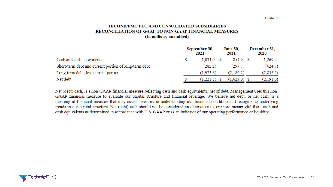#### TECHNIPFMC PLC AND CONSOLIDATED SUBSIDIARIES RECONCILIATION OF GAAP TO NON-GAAP FINANCIAL MEASURES (In millions, unaudited)

|                                                       | September 30,<br>2021 | <b>June 30,</b><br>2021 | December 31,<br>2020 |
|-------------------------------------------------------|-----------------------|-------------------------|----------------------|
| Cash and cash equivalents                             | 1.034.0               | 854.9 \$                | 1.269.2              |
| Short-term debt and current portion of long-term debt | (282.2)               | (297.7)                 | (624.7)              |
| Long-term debt, less current portion                  | (1,973.6)             | (2,180.2)               | (2,835.5)            |
| Net debt                                              | (1,221.8)             | $(1,623.0)$ \$          | (2,191.0)            |

Net (debt) cash, is a non-GAAP financial measure reflecting cash and cash equivalents, net of debt. Management uses this non-GAAP financial measure to evaluate our capital structure and financial leverage. We believe net debt, or net cash, is a meaningful financial measure that may assist investors in understanding our financial condition and recognizing underlying trends in our capital structure. Net (debt) cash should not be considered an alternative to, or more meaningful than, cash and cash equivalents as determined in accordance with U.S. GAAP or as an indicator of our operating performance or liquidity.

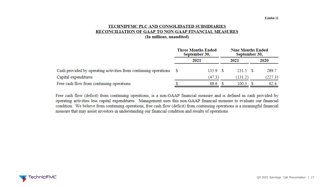#### TECHNIPFMC PLC AND CONSOLIDATED SUBSIDIARIES RECONCILIATION OF GAAP TO NON-GAAP FINANCIAL MEASURES (In millions, unaudited)

|                                                                     | <b>Three Months Ended</b><br>September 30, |         |  | <b>Nine Months Ended</b><br>September 30, |         |
|---------------------------------------------------------------------|--------------------------------------------|---------|--|-------------------------------------------|---------|
|                                                                     | 2021                                       |         |  | 2021                                      | 2020    |
| Cash provided by operating activities from continuing operations \$ |                                            | 135.9 S |  | 231.5 S                                   | 289.7   |
| Capital expenditures                                                |                                            | (47.3)  |  | (131.2)                                   | (227.3) |
| Free cash flow from continuing operations                           |                                            | 88.6    |  | 100.3                                     | 62.4    |

Free cash flow (deficit) from continuing operations, is a non-GAAP financial measure and is defined as cash provided by operating activities less capital expenditures. Management uses this non-GAAP financial measure to evaluate our financial condition. We believe from continuing operations, free cash flow (deficit) from continuing operations is a meaningful financial measure that may assist investors in understanding our financial condition and results of operations.